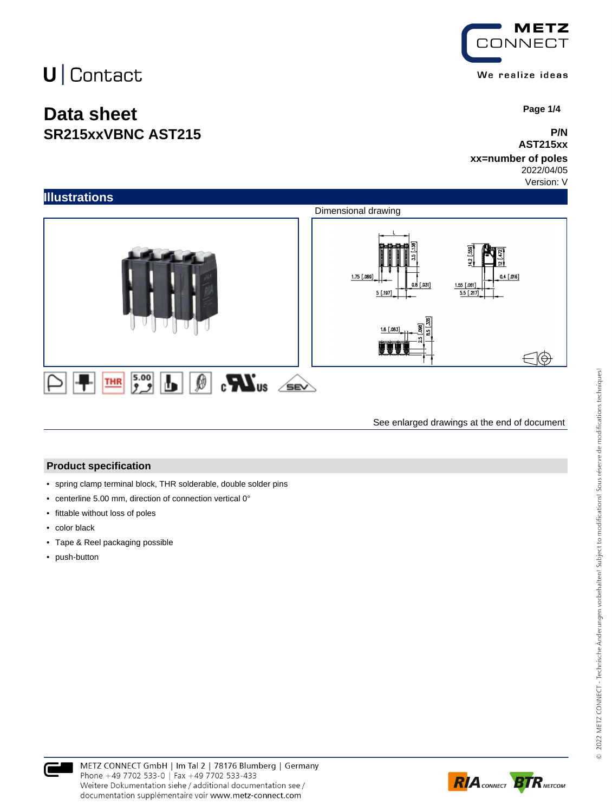## $U$  Contact

### **Data sheet SR215xxVBNC AST215**



 **Page 1/4**

#### **P/N AST215xx**

#### **xx=number of poles** 2022/04/05

Version: V



See enlarged drawings at the end of document

#### **Product specification**

- spring clamp terminal block, THR solderable, double solder pins
- centerline 5.00 mm, direction of connection vertical 0°
- fittable without loss of poles
- color black
- Tape & Reel packaging possible
- push-button



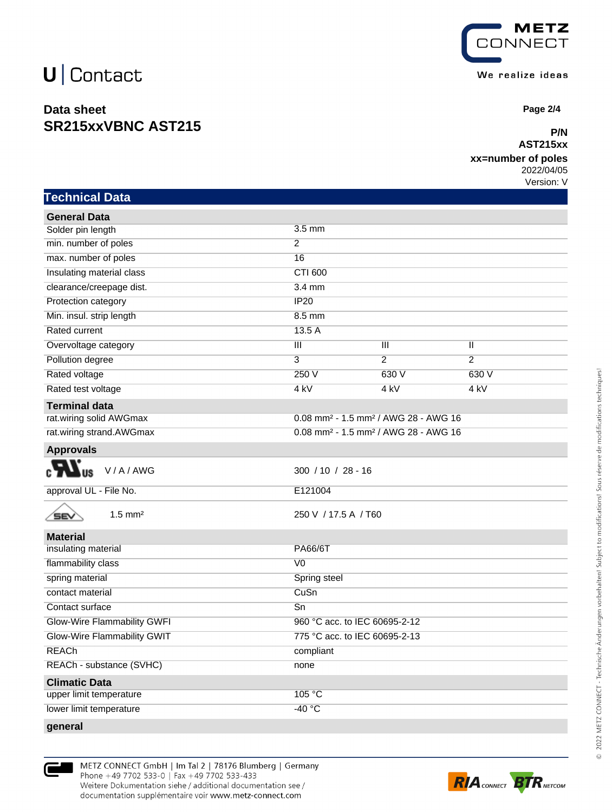## $U$  Contact

**Technical Data**

### **Data sheet SR215xxVBNC AST215**



 **Page 2/4**

#### **P/N AST215xx**

#### **xx=number of poles**

2022/04/05 Version: V

| General Data              |                  |                                                                |                |  |
|---------------------------|------------------|----------------------------------------------------------------|----------------|--|
| Solder pin length         | $3.5 \text{ mm}$ |                                                                |                |  |
| min. number of poles      | $\mathcal{P}$    |                                                                |                |  |
| max. number of poles      | 16               |                                                                |                |  |
| Insulating material class | CTI 600          |                                                                |                |  |
| clearance/creepage dist.  | $3.4 \text{ mm}$ |                                                                |                |  |
| Protection category       | <b>IP20</b>      |                                                                |                |  |
| Min. insul. strip length  | 8.5 mm           |                                                                |                |  |
| Rated current             | 13.5 A           |                                                                |                |  |
| Overvoltage category      | Ш                | Ш                                                              | Ш              |  |
| Pollution degree          | 3                | $\mathcal{P}$                                                  | $\overline{2}$ |  |
| Rated voltage             | 250 V            | 630 V                                                          | 630 V          |  |
| Rated test voltage        | 4 kV             | 4 kV                                                           | 4 kV           |  |
| Terminal data             |                  |                                                                |                |  |
| rat.wiring solid AWGmax   |                  | $0.08$ mm <sup>2</sup> - 1.5 mm <sup>2</sup> / AWG 28 - AWG 16 |                |  |
| rat.wiring strand.AWGmax  |                  | 0.08 mm <sup>2</sup> - 1.5 mm <sup>2</sup> / AWG 28 - AWG 16   |                |  |

| <b>Approvals</b> |  |
|------------------|--|
| ---              |  |

∕≡∎

 $c$   $\mathbf{M}$ <sub>us</sub>

approval UL - File No. **E121004** 

| V/A/AWG | $300 / 10 / 28 - 16$ |
|---------|----------------------|

1.5 mm² 250 V / 17.5 A / T60

| <b>Material</b>                    |                               |
|------------------------------------|-------------------------------|
| insulating material                | PA66/6T                       |
| flammability class                 | V <sub>0</sub>                |
| spring material                    | Spring steel                  |
| contact material                   | CuSn                          |
| Contact surface                    | Sn                            |
| <b>Glow-Wire Flammability GWFI</b> | 960 °C acc. to IEC 60695-2-12 |
| Glow-Wire Flammability GWIT        | 775 °C acc. to IEC 60695-2-13 |
| <b>REACh</b>                       | compliant                     |
| REACh - substance (SVHC)           | none                          |
| <b>Climatic Data</b>               |                               |
| upper limit temperature            | 105 °C                        |
| lower limit temperature            | $-40 °C$                      |
| general                            |                               |



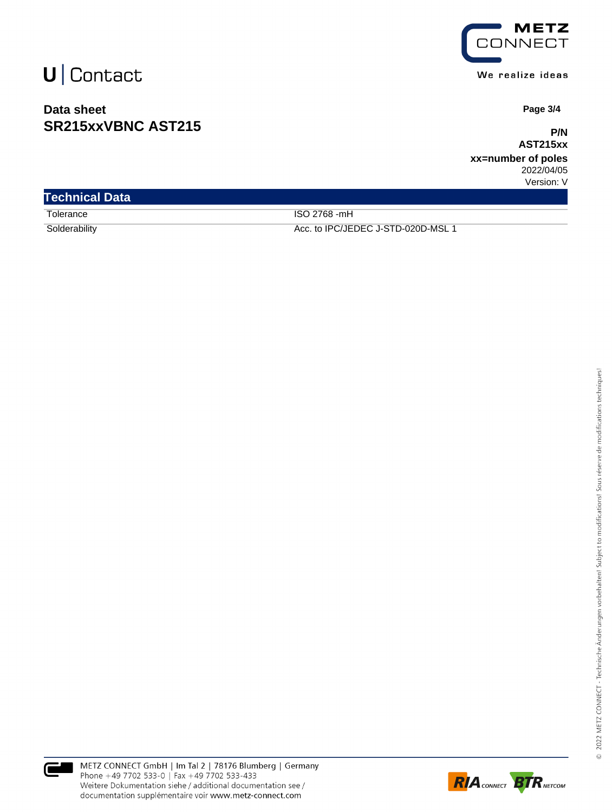## $U$  Contact

### **Data sheet SR215xxVBNC AST215**



 **Page 3/4**

**P/N AST215xx**

**xx=number of poles** 2022/04/05 Version: V

| <b>Technical Data</b> |                                    |
|-----------------------|------------------------------------|
| Tolerance             | ISO 2768 -mH                       |
| Solderability         | Acc. to IPC/JEDEC J-STD-020D-MSL 1 |